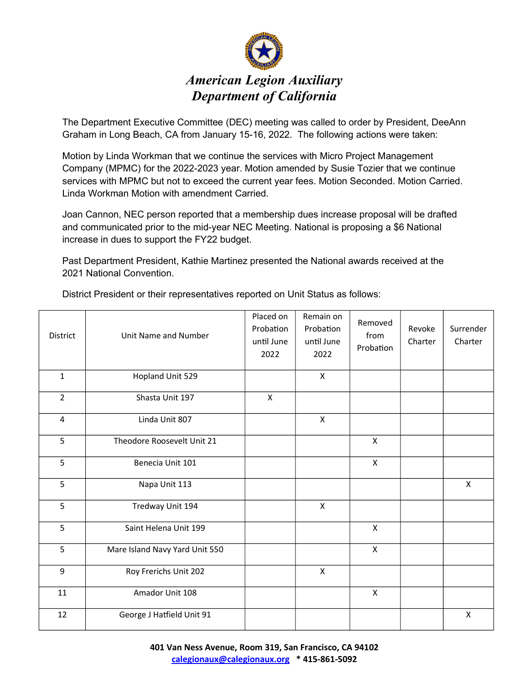

The Department Executive Committee (DEC) meeting was called to order by President, DeeAnn Graham in Long Beach, CA from January 15-16, 2022. The following actions were taken:

Motion by Linda Workman that we continue the services with Micro Project Management Company (MPMC) for the 2022-2023 year. Motion amended by Susie Tozier that we continue services with MPMC but not to exceed the current year fees. Motion Seconded. Motion Carried. Linda Workman Motion with amendment Carried.

Joan Cannon, NEC person reported that a membership dues increase proposal will be drafted and communicated prior to the mid-year NEC Meeting. National is proposing a \$6 National increase in dues to support the FY22 budget.

Past Department President, Kathie Martinez presented the National awards received at the 2021 National Convention.

| District       | Unit Name and Number           | Placed on<br>Probation<br>until June<br>2022 | Remain on<br>Probation<br>until June<br>2022 | Removed<br>from<br>Probation | Revoke<br>Charter | Surrender<br>Charter      |
|----------------|--------------------------------|----------------------------------------------|----------------------------------------------|------------------------------|-------------------|---------------------------|
| $\mathbf{1}$   | Hopland Unit 529               |                                              | $\boldsymbol{\mathsf{X}}$                    |                              |                   |                           |
| $\overline{2}$ | Shasta Unit 197                | $\mathsf{x}$                                 |                                              |                              |                   |                           |
| $\overline{4}$ | Linda Unit 807                 |                                              | $\pmb{\times}$                               |                              |                   |                           |
| 5              | Theodore Roosevelt Unit 21     |                                              |                                              | X                            |                   |                           |
| 5              | Benecia Unit 101               |                                              |                                              | X                            |                   |                           |
| 5              | Napa Unit 113                  |                                              |                                              |                              |                   | $\mathsf{x}$              |
| 5              | Tredway Unit 194               |                                              | $\boldsymbol{\mathsf{X}}$                    |                              |                   |                           |
| 5              | Saint Helena Unit 199          |                                              |                                              | $\mathsf{x}$                 |                   |                           |
| 5              | Mare Island Navy Yard Unit 550 |                                              |                                              | $\mathsf{x}$                 |                   |                           |
| 9              | Roy Frerichs Unit 202          |                                              | $\pmb{\times}$                               |                              |                   |                           |
| 11             | Amador Unit 108                |                                              |                                              | X                            |                   |                           |
| 12             | George J Hatfield Unit 91      |                                              |                                              |                              |                   | $\boldsymbol{\mathsf{X}}$ |

District President or their representatives reported on Unit Status as follows: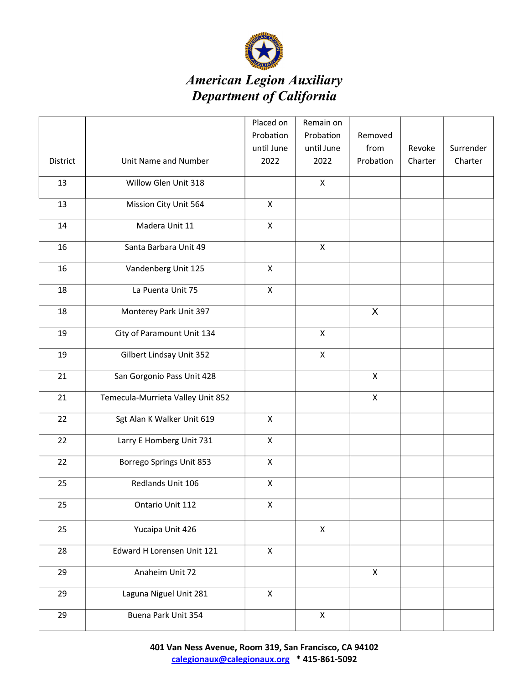

## American Legion Auxiliary Department of California

|          |                                   | Placed on          | Remain on      |              |         |           |
|----------|-----------------------------------|--------------------|----------------|--------------|---------|-----------|
|          |                                   | Probation          | Probation      | Removed      |         |           |
|          |                                   | until June         | until June     | from         | Revoke  | Surrender |
| District | Unit Name and Number              | 2022               | 2022           | Probation    | Charter | Charter   |
| 13       | Willow Glen Unit 318              |                    | $\mathsf{x}$   |              |         |           |
| 13       | Mission City Unit 564             | $\pmb{\mathsf{X}}$ |                |              |         |           |
| 14       | Madera Unit 11                    | $\pmb{\mathsf{X}}$ |                |              |         |           |
| 16       | Santa Barbara Unit 49             |                    | $\pmb{\times}$ |              |         |           |
| 16       | Vandenberg Unit 125               | $\pmb{\times}$     |                |              |         |           |
| 18       | La Puenta Unit 75                 | $\mathsf{X}$       |                |              |         |           |
| 18       | Monterey Park Unit 397            |                    |                | X            |         |           |
| 19       | City of Paramount Unit 134        |                    | $\pmb{\times}$ |              |         |           |
| 19       | Gilbert Lindsay Unit 352          |                    | $\pmb{\times}$ |              |         |           |
| 21       | San Gorgonio Pass Unit 428        |                    |                | Χ            |         |           |
| 21       | Temecula-Murrieta Valley Unit 852 |                    |                | $\mathsf{x}$ |         |           |
| 22       | Sgt Alan K Walker Unit 619        | $\mathsf{x}$       |                |              |         |           |
| 22       | Larry E Homberg Unit 731          | $\mathsf{x}$       |                |              |         |           |
| 22       | Borrego Springs Unit 853          | $\pmb{\mathsf{X}}$ |                |              |         |           |
| 25       | Redlands Unit 106                 | X                  |                |              |         |           |
| 25       | Ontario Unit 112                  | X                  |                |              |         |           |
| 25       | Yucaipa Unit 426                  |                    | $\pmb{\times}$ |              |         |           |
| 28       | Edward H Lorensen Unit 121        | $\mathsf{x}$       |                |              |         |           |
| 29       | Anaheim Unit 72                   |                    |                | $\mathsf{X}$ |         |           |
| 29       | Laguna Niguel Unit 281            | $\mathsf{x}$       |                |              |         |           |
| 29       | Buena Park Unit 354               |                    | X              |              |         |           |